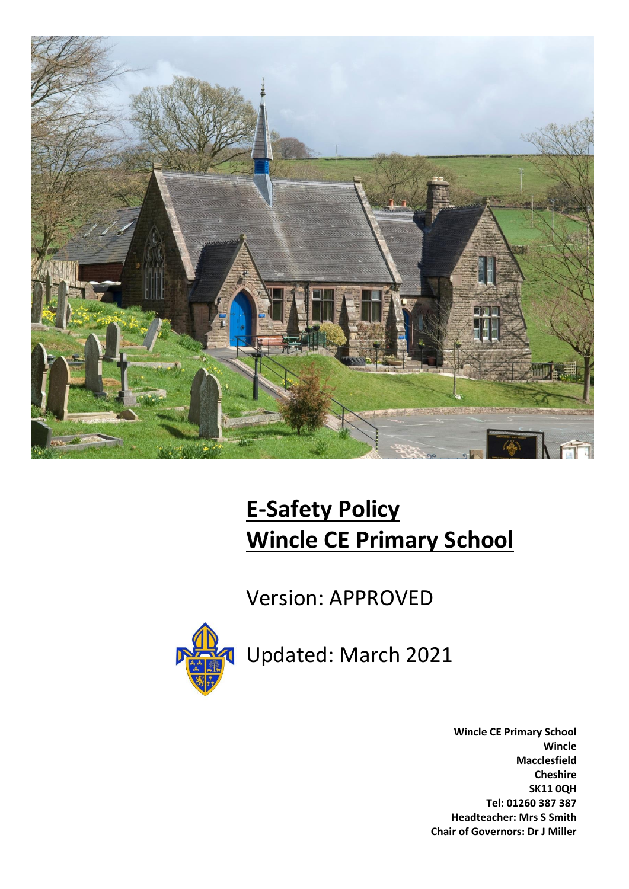

# **E-Safety Policy Wincle CE Primary School**

Version: APPROVED



Updated: March 2021

**Wincle CE Primary School Wincle Macclesfield Cheshire SK11 0QH Tel: 01260 387 387 Headteacher: Mrs S Smith Chair of Governors: Dr J Miller**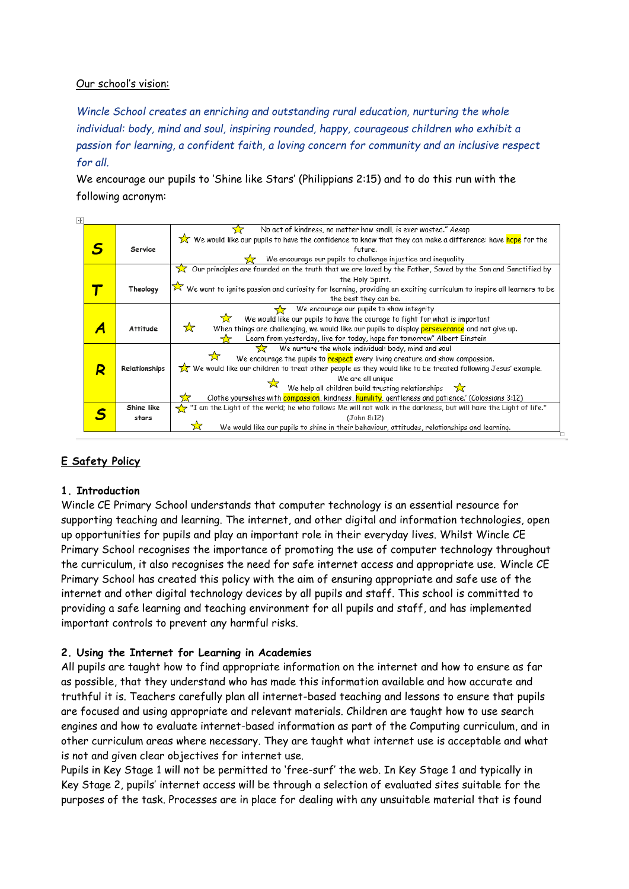#### Our school's vision:

*Wincle School creates an enriching and outstanding rural education, nurturing the whole individual: body, mind and soul, inspiring rounded, happy, courageous children who exhibit a passion for learning, a confident faith, a loving concern for community and an inclusive respect for all.*

We encourage our pupils to 'Shine like Stars' (Philippians 2:15) and to do this run with the following acronym:

| ⊬                                         |                                                                                                                              |                                                                                                                                     |  |
|-------------------------------------------|------------------------------------------------------------------------------------------------------------------------------|-------------------------------------------------------------------------------------------------------------------------------------|--|
|                                           |                                                                                                                              | No act of kindness, no matter how small, is ever wasted." Aesop                                                                     |  |
|                                           |                                                                                                                              | We would like our pupils to have the confidence to know that they can make a difference: have <mark>hope</mark> for the             |  |
|                                           | Service                                                                                                                      | future.                                                                                                                             |  |
|                                           |                                                                                                                              | We encourage our pupils to challenge injustice and inequality                                                                       |  |
|                                           |                                                                                                                              | $\chi$ Our principles are founded on the truth that we are loved by the Father, Saved by the Son and Sanctified by                  |  |
|                                           |                                                                                                                              | the Holy Spirit.                                                                                                                    |  |
|                                           | Theology                                                                                                                     | $\hat{\times}$ We want to ignite passion and curiosity for learning, providing an exciting curriculum to inspire all learners to be |  |
|                                           |                                                                                                                              | the best they can be.                                                                                                               |  |
| We encourage our pupils to show integrity |                                                                                                                              |                                                                                                                                     |  |
|                                           |                                                                                                                              | 7.7<br>We would like our pupils to have the courage to fight for what is important                                                  |  |
|                                           | <b>Attitude</b>                                                                                                              | ☆<br>When things are challenging, we would like our pupils to display perseverance and not give up.                                 |  |
|                                           |                                                                                                                              | Learn from yesterday, live for today, hope for tomorrow" Albert Einstein                                                            |  |
|                                           |                                                                                                                              | We nurture the whole individual: body, mind and soul<br>52                                                                          |  |
|                                           |                                                                                                                              | We encourage the pupils to respect every living creature and show compassion.                                                       |  |
| R                                         | We would like our children to treat other people as they would like to be treated following Jesus' example.<br>Relationships |                                                                                                                                     |  |
|                                           |                                                                                                                              | We are all unique                                                                                                                   |  |
|                                           |                                                                                                                              | We help all children build trusting relationships $\sum$                                                                            |  |
|                                           |                                                                                                                              | Clothe yourselves with compassion, kindness, humility, gentleness and patience.' (Colossians 3:12)                                  |  |
|                                           | Shine like                                                                                                                   | the Light of the world; he who follows Me will not walk in the darkness, but will have the Light of life."                          |  |
|                                           | stars                                                                                                                        | (John 8:12)                                                                                                                         |  |
|                                           |                                                                                                                              | 장<br>We would like our pupils to shine in their behaviour, attitudes, relationships and learning.                                   |  |

# **E Safety Policy**

#### **1. Introduction**

Wincle CE Primary School understands that computer technology is an essential resource for supporting teaching and learning. The internet, and other digital and information technologies, open up opportunities for pupils and play an important role in their everyday lives. Whilst Wincle CE Primary School recognises the importance of promoting the use of computer technology throughout the curriculum, it also recognises the need for safe internet access and appropriate use. Wincle CE Primary School has created this policy with the aim of ensuring appropriate and safe use of the internet and other digital technology devices by all pupils and staff. This school is committed to providing a safe learning and teaching environment for all pupils and staff, and has implemented important controls to prevent any harmful risks.

#### **2. Using the Internet for Learning in Academies**

All pupils are taught how to find appropriate information on the internet and how to ensure as far as possible, that they understand who has made this information available and how accurate and truthful it is. Teachers carefully plan all internet-based teaching and lessons to ensure that pupils are focused and using appropriate and relevant materials. Children are taught how to use search engines and how to evaluate internet-based information as part of the Computing curriculum, and in other curriculum areas where necessary. They are taught what internet use is acceptable and what is not and given clear objectives for internet use.

Pupils in Key Stage 1 will not be permitted to 'free-surf' the web. In Key Stage 1 and typically in Key Stage 2, pupils' internet access will be through a selection of evaluated sites suitable for the purposes of the task. Processes are in place for dealing with any unsuitable material that is found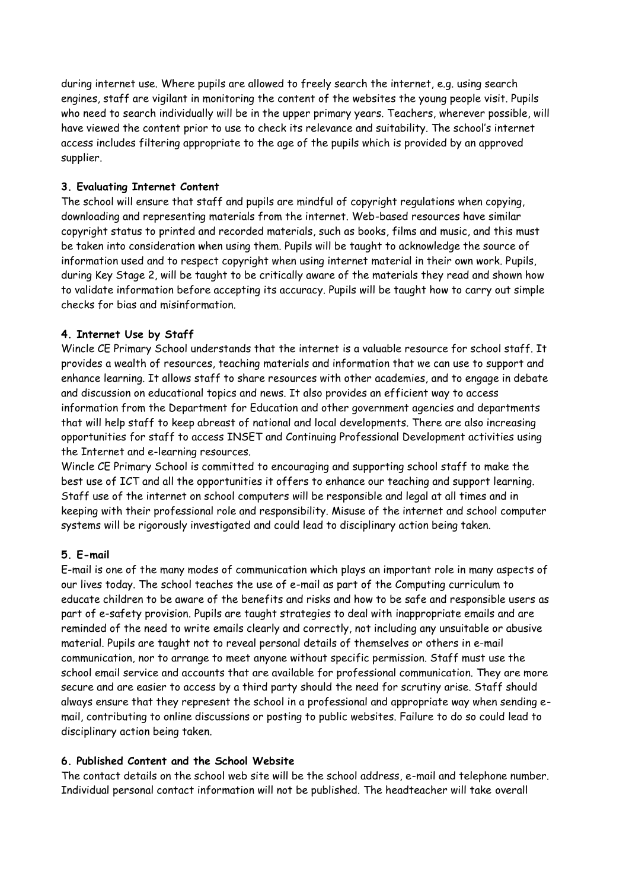during internet use. Where pupils are allowed to freely search the internet, e.g. using search engines, staff are vigilant in monitoring the content of the websites the young people visit. Pupils who need to search individually will be in the upper primary years. Teachers, wherever possible, will have viewed the content prior to use to check its relevance and suitability. The school's internet access includes filtering appropriate to the age of the pupils which is provided by an approved supplier.

#### **3. Evaluating Internet Content**

The school will ensure that staff and pupils are mindful of copyright regulations when copying, downloading and representing materials from the internet. Web-based resources have similar copyright status to printed and recorded materials, such as books, films and music, and this must be taken into consideration when using them. Pupils will be taught to acknowledge the source of information used and to respect copyright when using internet material in their own work. Pupils, during Key Stage 2, will be taught to be critically aware of the materials they read and shown how to validate information before accepting its accuracy. Pupils will be taught how to carry out simple checks for bias and misinformation.

## **4. Internet Use by Staff**

Wincle CE Primary School understands that the internet is a valuable resource for school staff. It provides a wealth of resources, teaching materials and information that we can use to support and enhance learning. It allows staff to share resources with other academies, and to engage in debate and discussion on educational topics and news. It also provides an efficient way to access information from the Department for Education and other government agencies and departments that will help staff to keep abreast of national and local developments. There are also increasing opportunities for staff to access INSET and Continuing Professional Development activities using the Internet and e-learning resources.

Wincle CE Primary School is committed to encouraging and supporting school staff to make the best use of ICT and all the opportunities it offers to enhance our teaching and support learning. Staff use of the internet on school computers will be responsible and legal at all times and in keeping with their professional role and responsibility. Misuse of the internet and school computer systems will be rigorously investigated and could lead to disciplinary action being taken.

# **5. E-mail**

E-mail is one of the many modes of communication which plays an important role in many aspects of our lives today. The school teaches the use of e-mail as part of the Computing curriculum to educate children to be aware of the benefits and risks and how to be safe and responsible users as part of e-safety provision. Pupils are taught strategies to deal with inappropriate emails and are reminded of the need to write emails clearly and correctly, not including any unsuitable or abusive material. Pupils are taught not to reveal personal details of themselves or others in e-mail communication, nor to arrange to meet anyone without specific permission. Staff must use the school email service and accounts that are available for professional communication. They are more secure and are easier to access by a third party should the need for scrutiny arise. Staff should always ensure that they represent the school in a professional and appropriate way when sending email, contributing to online discussions or posting to public websites. Failure to do so could lead to disciplinary action being taken.

#### **6. Published Content and the School Website**

The contact details on the school web site will be the school address, e-mail and telephone number. Individual personal contact information will not be published. The headteacher will take overall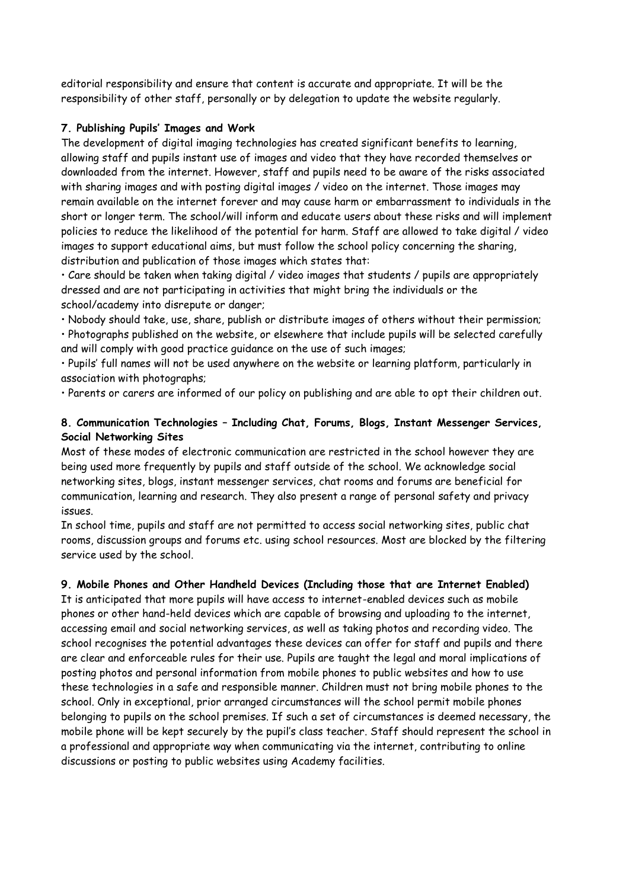editorial responsibility and ensure that content is accurate and appropriate. It will be the responsibility of other staff, personally or by delegation to update the website regularly.

#### **7. Publishing Pupils' Images and Work**

The development of digital imaging technologies has created significant benefits to learning, allowing staff and pupils instant use of images and video that they have recorded themselves or downloaded from the internet. However, staff and pupils need to be aware of the risks associated with sharing images and with posting digital images / video on the internet. Those images may remain available on the internet forever and may cause harm or embarrassment to individuals in the short or longer term. The school/will inform and educate users about these risks and will implement policies to reduce the likelihood of the potential for harm. Staff are allowed to take digital / video images to support educational aims, but must follow the school policy concerning the sharing, distribution and publication of those images which states that:

• Care should be taken when taking digital / video images that students / pupils are appropriately dressed and are not participating in activities that might bring the individuals or the school/academy into disrepute or danger;

• Nobody should take, use, share, publish or distribute images of others without their permission; • Photographs published on the website, or elsewhere that include pupils will be selected carefully and will comply with good practice guidance on the use of such images;

• Pupils' full names will not be used anywhere on the website or learning platform, particularly in association with photographs;

• Parents or carers are informed of our policy on publishing and are able to opt their children out.

#### **8. Communication Technologies – Including Chat, Forums, Blogs, Instant Messenger Services, Social Networking Sites**

Most of these modes of electronic communication are restricted in the school however they are being used more frequently by pupils and staff outside of the school. We acknowledge social networking sites, blogs, instant messenger services, chat rooms and forums are beneficial for communication, learning and research. They also present a range of personal safety and privacy issues.

In school time, pupils and staff are not permitted to access social networking sites, public chat rooms, discussion groups and forums etc. using school resources. Most are blocked by the filtering service used by the school.

#### **9. Mobile Phones and Other Handheld Devices (Including those that are Internet Enabled)**

It is anticipated that more pupils will have access to internet-enabled devices such as mobile phones or other hand-held devices which are capable of browsing and uploading to the internet, accessing email and social networking services, as well as taking photos and recording video. The school recognises the potential advantages these devices can offer for staff and pupils and there are clear and enforceable rules for their use. Pupils are taught the legal and moral implications of posting photos and personal information from mobile phones to public websites and how to use these technologies in a safe and responsible manner. Children must not bring mobile phones to the school. Only in exceptional, prior arranged circumstances will the school permit mobile phones belonging to pupils on the school premises. If such a set of circumstances is deemed necessary, the mobile phone will be kept securely by the pupil's class teacher. Staff should represent the school in a professional and appropriate way when communicating via the internet, contributing to online discussions or posting to public websites using Academy facilities.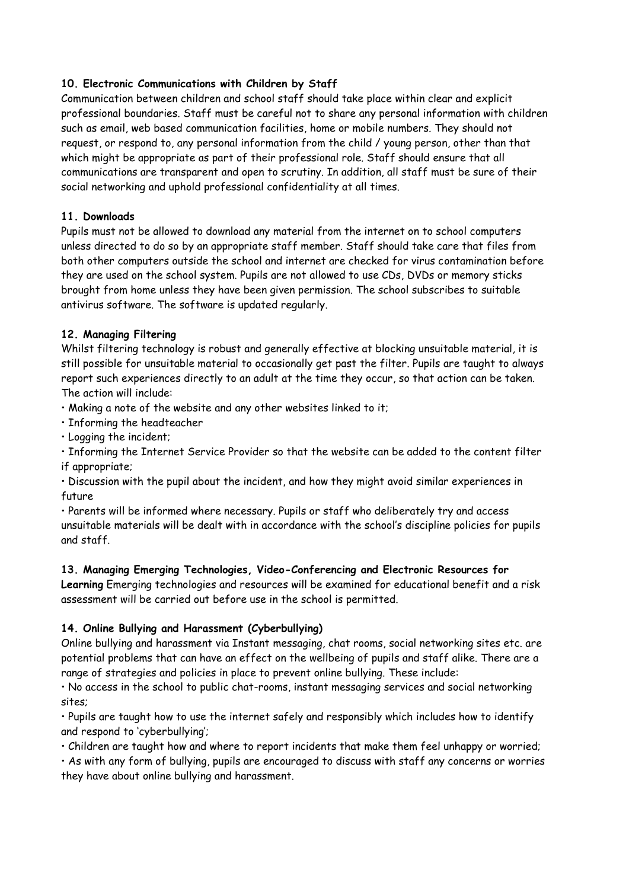## **10. Electronic Communications with Children by Staff**

Communication between children and school staff should take place within clear and explicit professional boundaries. Staff must be careful not to share any personal information with children such as email, web based communication facilities, home or mobile numbers. They should not request, or respond to, any personal information from the child / young person, other than that which might be appropriate as part of their professional role. Staff should ensure that all communications are transparent and open to scrutiny. In addition, all staff must be sure of their social networking and uphold professional confidentiality at all times.

## **11. Downloads**

Pupils must not be allowed to download any material from the internet on to school computers unless directed to do so by an appropriate staff member. Staff should take care that files from both other computers outside the school and internet are checked for virus contamination before they are used on the school system. Pupils are not allowed to use CDs, DVDs or memory sticks brought from home unless they have been given permission. The school subscribes to suitable antivirus software. The software is updated regularly.

## **12. Managing Filtering**

Whilst filtering technology is robust and generally effective at blocking unsuitable material, it is still possible for unsuitable material to occasionally get past the filter. Pupils are taught to always report such experiences directly to an adult at the time they occur, so that action can be taken. The action will include:

• Making a note of the website and any other websites linked to it;

- Informing the headteacher
- Logging the incident;

• Informing the Internet Service Provider so that the website can be added to the content filter if appropriate;

• Discussion with the pupil about the incident, and how they might avoid similar experiences in future

• Parents will be informed where necessary. Pupils or staff who deliberately try and access unsuitable materials will be dealt with in accordance with the school's discipline policies for pupils and staff.

#### **13. Managing Emerging Technologies, Video-Conferencing and Electronic Resources for**

**Learning** Emerging technologies and resources will be examined for educational benefit and a risk assessment will be carried out before use in the school is permitted.

# **14. Online Bullying and Harassment (Cyberbullying)**

Online bullying and harassment via Instant messaging, chat rooms, social networking sites etc. are potential problems that can have an effect on the wellbeing of pupils and staff alike. There are a range of strategies and policies in place to prevent online bullying. These include:

• No access in the school to public chat-rooms, instant messaging services and social networking sites;

• Pupils are taught how to use the internet safely and responsibly which includes how to identify and respond to 'cyberbullying';

• Children are taught how and where to report incidents that make them feel unhappy or worried;

• As with any form of bullying, pupils are encouraged to discuss with staff any concerns or worries they have about online bullying and harassment.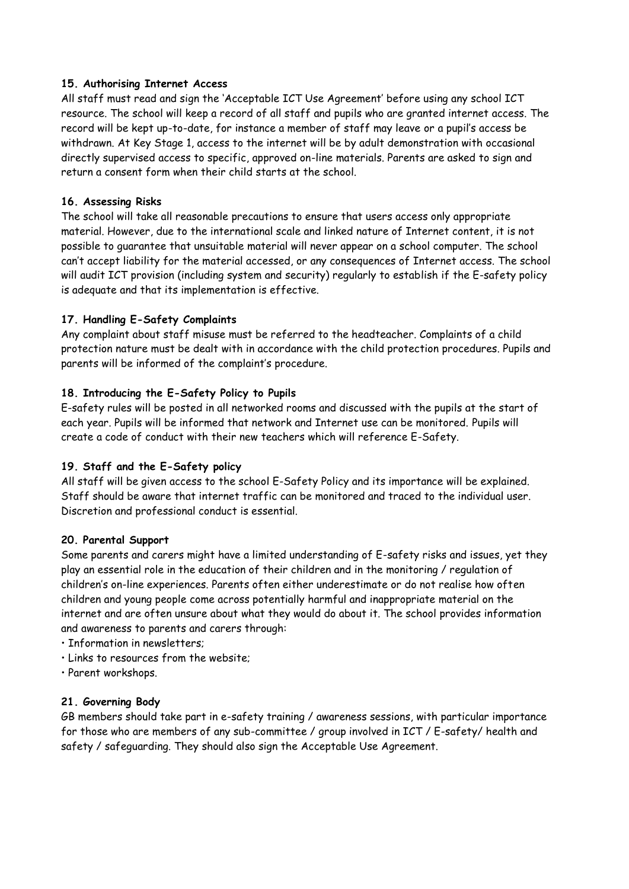#### **15. Authorising Internet Access**

All staff must read and sign the 'Acceptable ICT Use Agreement' before using any school ICT resource. The school will keep a record of all staff and pupils who are granted internet access. The record will be kept up-to-date, for instance a member of staff may leave or a pupil's access be withdrawn. At Key Stage 1, access to the internet will be by adult demonstration with occasional directly supervised access to specific, approved on-line materials. Parents are asked to sign and return a consent form when their child starts at the school.

#### **16. Assessing Risks**

The school will take all reasonable precautions to ensure that users access only appropriate material. However, due to the international scale and linked nature of Internet content, it is not possible to guarantee that unsuitable material will never appear on a school computer. The school can't accept liability for the material accessed, or any consequences of Internet access. The school will audit ICT provision (including system and security) regularly to establish if the E-safety policy is adequate and that its implementation is effective.

#### **17. Handling E-Safety Complaints**

Any complaint about staff misuse must be referred to the headteacher. Complaints of a child protection nature must be dealt with in accordance with the child protection procedures. Pupils and parents will be informed of the complaint's procedure.

#### **18. Introducing the E-Safety Policy to Pupils**

E-safety rules will be posted in all networked rooms and discussed with the pupils at the start of each year. Pupils will be informed that network and Internet use can be monitored. Pupils will create a code of conduct with their new teachers which will reference E-Safety.

#### **19. Staff and the E-Safety policy**

All staff will be given access to the school E-Safety Policy and its importance will be explained. Staff should be aware that internet traffic can be monitored and traced to the individual user. Discretion and professional conduct is essential.

#### **20. Parental Support**

Some parents and carers might have a limited understanding of E-safety risks and issues, yet they play an essential role in the education of their children and in the monitoring / regulation of children's on-line experiences. Parents often either underestimate or do not realise how often children and young people come across potentially harmful and inappropriate material on the internet and are often unsure about what they would do about it. The school provides information and awareness to parents and carers through:

- Information in newsletters;
- Links to resources from the website;
- Parent workshops.

#### **21. Governing Body**

GB members should take part in e-safety training / awareness sessions, with particular importance for those who are members of any sub-committee / group involved in ICT / E-safety/ health and safety / safeguarding. They should also sign the Acceptable Use Agreement.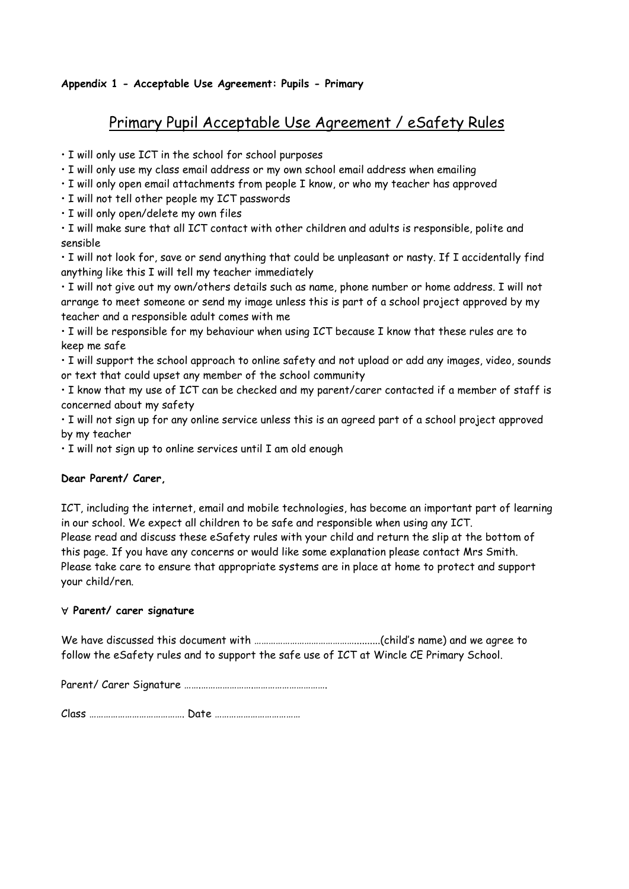## **Appendix 1 - Acceptable Use Agreement: Pupils - Primary**

# Primary Pupil Acceptable Use Agreement / eSafety Rules

• I will only use ICT in the school for school purposes

• I will only use my class email address or my own school email address when emailing

• I will only open email attachments from people I know, or who my teacher has approved

• I will not tell other people my ICT passwords

• I will only open/delete my own files

• I will make sure that all ICT contact with other children and adults is responsible, polite and sensible

• I will not look for, save or send anything that could be unpleasant or nasty. If I accidentally find anything like this I will tell my teacher immediately

• I will not give out my own/others details such as name, phone number or home address. I will not arrange to meet someone or send my image unless this is part of a school project approved by my teacher and a responsible adult comes with me

• I will be responsible for my behaviour when using ICT because I know that these rules are to keep me safe

• I will support the school approach to online safety and not upload or add any images, video, sounds or text that could upset any member of the school community

• I know that my use of ICT can be checked and my parent/carer contacted if a member of staff is concerned about my safety

• I will not sign up for any online service unless this is an agreed part of a school project approved by my teacher

• I will not sign up to online services until I am old enough

#### **Dear Parent/ Carer,**

ICT, including the internet, email and mobile technologies, has become an important part of learning in our school. We expect all children to be safe and responsible when using any ICT. Please read and discuss these eSafety rules with your child and return the slip at the bottom of this page. If you have any concerns or would like some explanation please contact Mrs Smith. Please take care to ensure that appropriate systems are in place at home to protect and support your child/ren.

#### **Parent/ carer signature**

We have discussed this document with ……………………………………..........(child's name) and we agree to follow the eSafety rules and to support the safe use of ICT at Wincle CE Primary School.

Parent/ Carer Signature …….………………….………………………….

Class …………………………………. Date ………………………………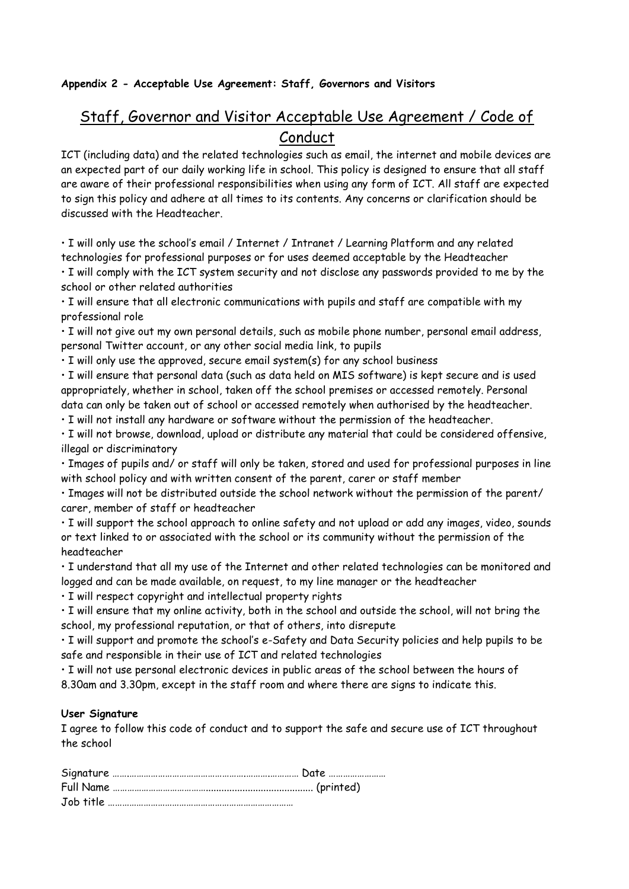## **Appendix 2 - Acceptable Use Agreement: Staff, Governors and Visitors**

# Staff, Governor and Visitor Acceptable Use Agreement / Code of Conduct

ICT (including data) and the related technologies such as email, the internet and mobile devices are an expected part of our daily working life in school. This policy is designed to ensure that all staff are aware of their professional responsibilities when using any form of ICT. All staff are expected to sign this policy and adhere at all times to its contents. Any concerns or clarification should be discussed with the Headteacher.

• I will only use the school's email / Internet / Intranet / Learning Platform and any related technologies for professional purposes or for uses deemed acceptable by the Headteacher • I will comply with the ICT system security and not disclose any passwords provided to me by the school or other related authorities

• I will ensure that all electronic communications with pupils and staff are compatible with my professional role

• I will not give out my own personal details, such as mobile phone number, personal email address, personal Twitter account, or any other social media link, to pupils

• I will only use the approved, secure email system(s) for any school business

• I will ensure that personal data (such as data held on MIS software) is kept secure and is used appropriately, whether in school, taken off the school premises or accessed remotely. Personal data can only be taken out of school or accessed remotely when authorised by the headteacher.

• I will not install any hardware or software without the permission of the headteacher.

• I will not browse, download, upload or distribute any material that could be considered offensive, illegal or discriminatory

• Images of pupils and/ or staff will only be taken, stored and used for professional purposes in line with school policy and with written consent of the parent, carer or staff member

• Images will not be distributed outside the school network without the permission of the parent/ carer, member of staff or headteacher

• I will support the school approach to online safety and not upload or add any images, video, sounds or text linked to or associated with the school or its community without the permission of the headteacher

• I understand that all my use of the Internet and other related technologies can be monitored and logged and can be made available, on request, to my line manager or the headteacher

• I will respect copyright and intellectual property rights

• I will ensure that my online activity, both in the school and outside the school, will not bring the school, my professional reputation, or that of others, into disrepute

• I will support and promote the school's e-Safety and Data Security policies and help pupils to be safe and responsible in their use of ICT and related technologies

• I will not use personal electronic devices in public areas of the school between the hours of 8.30am and 3.30pm, except in the staff room and where there are signs to indicate this.

#### **User Signature**

I agree to follow this code of conduct and to support the safe and secure use of ICT throughout the school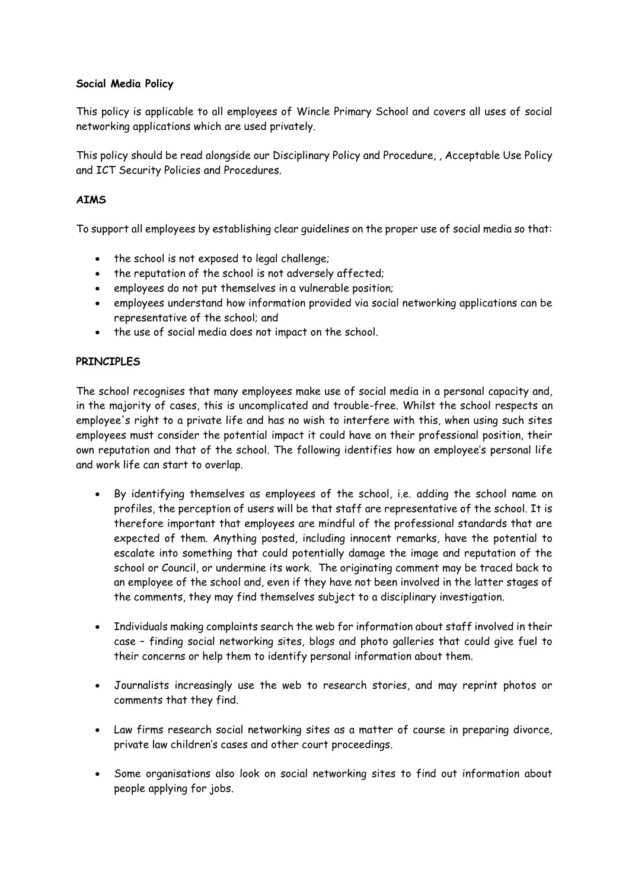#### **Social Media Policy**

This policy is applicable to all employees of Wincle Primary School and covers all uses of social networking applications which are used privately.

This policy should be read alongside our Disciplinary Policy and Procedure, , Acceptable Use Policy and ICT Security Policies and Procedures.

#### **AIMS**

To support all employees by establishing clear guidelines on the proper use of social media so that:

- the school is not exposed to legal challenge;
- the reputation of the school is not adversely affected;
- employees do not put themselves in a vulnerable position;
- employees understand how information provided via social networking applications can be representative of the school; and
- the use of social media does not impact on the school.

#### **PRINCIPLES**

The school recognises that many employees make use of social media in a personal capacity and, in the majority of cases, this is uncomplicated and trouble-free. Whilst the school respects an employee's right to a private life and has no wish to interfere with this, when using such sites employees must consider the potential impact it could have on their professional position, their own reputation and that of the school. The following identifies how an employee's personal life and work life can start to overlap.

- By identifying themselves as employees of the school, i.e. adding the school name on profiles, the perception of users will be that staff are representative of the school. It is therefore important that employees are mindful of the professional standards that are expected of them. Anything posted, including innocent remarks, have the potential to escalate into something that could potentially damage the image and reputation of the school or Council, or undermine its work. The originating comment may be traced back to an employee of the school and, even if they have not been involved in the latter stages of the comments, they may find themselves subject to a disciplinary investigation.
- Individuals making complaints search the web for information about staff involved in their case – finding social networking sites, blogs and photo galleries that could give fuel to their concerns or help them to identify personal information about them.
- Journalists increasingly use the web to research stories, and may reprint photos or comments that they find.
- Law firms research social networking sites as a matter of course in preparing divorce, private law children's cases and other court proceedings.
- Some organisations also look on social networking sites to find out information about people applying for jobs.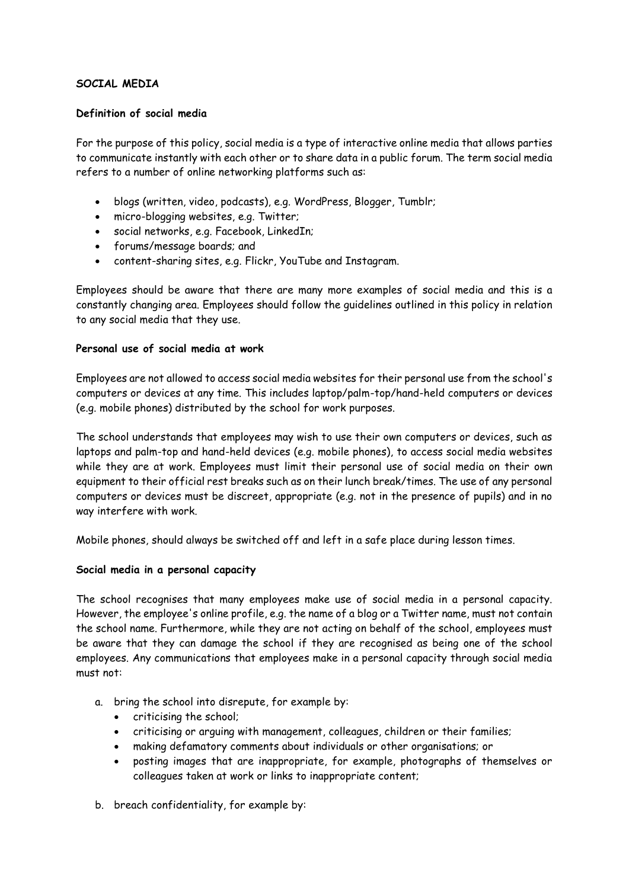#### **SOCIAL MEDIA**

#### **Definition of social media**

For the purpose of this policy, social media is a type of interactive online media that allows parties to communicate instantly with each other or to share data in a public forum. The term social media refers to a number of online networking platforms such as:

- blogs (written, video, podcasts), e.g. WordPress, Blogger, Tumblr;
- micro-blogging websites, e.g. Twitter;
- social networks, e.g. Facebook, LinkedIn;
- forums/message boards; and
- content-sharing sites, e.g. Flickr, YouTube and Instagram.

Employees should be aware that there are many more examples of social media and this is a constantly changing area. Employees should follow the guidelines outlined in this policy in relation to any social media that they use.

#### **Personal use of social media at work**

Employees are not allowed to access social media websites for their personal use from the school's computers or devices at any time. This includes laptop/palm-top/hand-held computers or devices (e.g. mobile phones) distributed by the school for work purposes.

The school understands that employees may wish to use their own computers or devices, such as laptops and palm-top and hand-held devices (e.g. mobile phones), to access social media websites while they are at work. Employees must limit their personal use of social media on their own equipment to their official rest breaks such as on their lunch break/times. The use of any personal computers or devices must be discreet, appropriate (e.g. not in the presence of pupils) and in no way interfere with work.

Mobile phones, should always be switched off and left in a safe place during lesson times.

#### **Social media in a personal capacity**

The school recognises that many employees make use of social media in a personal capacity. However, the employee's online profile, e.g. the name of a blog or a Twitter name, must not contain the school name. Furthermore, while they are not acting on behalf of the school, employees must be aware that they can damage the school if they are recognised as being one of the school employees. Any communications that employees make in a personal capacity through social media must not:

- a. bring the school into disrepute, for example by:
	- criticising the school;
	- criticising or arguing with management, colleagues, children or their families;
	- making defamatory comments about individuals or other organisations; or
	- posting images that are inappropriate, for example, photographs of themselves or colleagues taken at work or links to inappropriate content;
- b. breach confidentiality, for example by: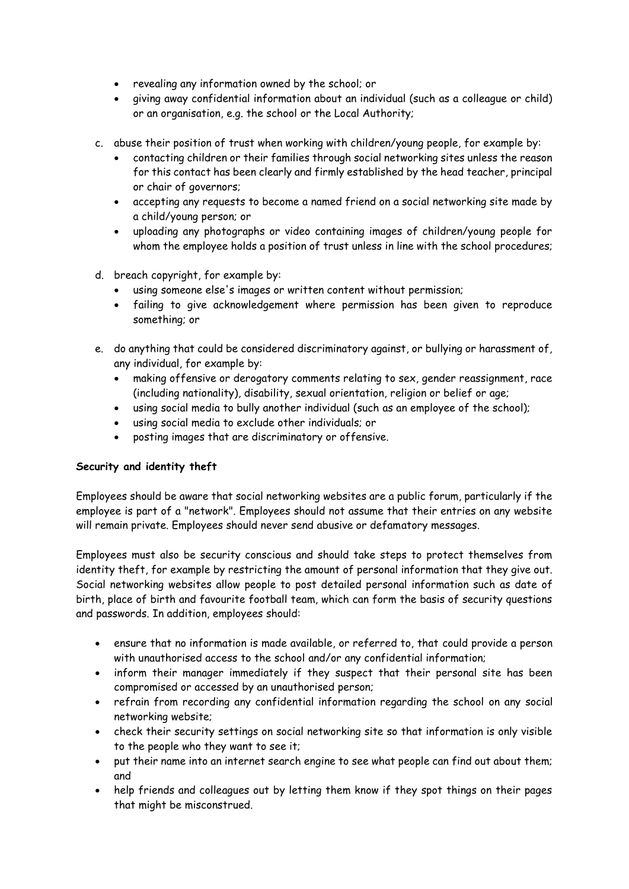- revealing any information owned by the school; or
- giving away confidential information about an individual (such as a colleague or child) or an organisation, e.g. the school or the Local Authority;
- c. abuse their position of trust when working with children/young people, for example by:
	- contacting children or their families through social networking sites unless the reason for this contact has been clearly and firmly established by the head teacher, principal or chair of governors;
	- accepting any requests to become a named friend on a social networking site made by a child/young person; or
	- uploading any photographs or video containing images of children/young people for whom the employee holds a position of trust unless in line with the school procedures;
- d. breach copyright, for example by:
	- using someone else's images or written content without permission;
	- failing to give acknowledgement where permission has been given to reproduce something; or
- e. do anything that could be considered discriminatory against, or bullying or harassment of, any individual, for example by:
	- making offensive or derogatory comments relating to sex, gender reassignment, race (including nationality), disability, sexual orientation, religion or belief or age;
	- using social media to bully another individual (such as an employee of the school);
	- using social media to exclude other individuals; or
	- posting images that are discriminatory or offensive.

#### **Security and identity theft**

Employees should be aware that social networking websites are a public forum, particularly if the employee is part of a "network". Employees should not assume that their entries on any website will remain private. Employees should never send abusive or defamatory messages.

Employees must also be security conscious and should take steps to protect themselves from identity theft, for example by restricting the amount of personal information that they give out. Social networking websites allow people to post detailed personal information such as date of birth, place of birth and favourite football team, which can form the basis of security questions and passwords. In addition, employees should:

- ensure that no information is made available, or referred to, that could provide a person with unauthorised access to the school and/or any confidential information;
- inform their manager immediately if they suspect that their personal site has been compromised or accessed by an unauthorised person;
- refrain from recording any confidential information regarding the school on any social networking website;
- check their security settings on social networking site so that information is only visible to the people who they want to see it;
- put their name into an internet search engine to see what people can find out about them; and
- help friends and colleagues out by letting them know if they spot things on their pages that might be misconstrued.